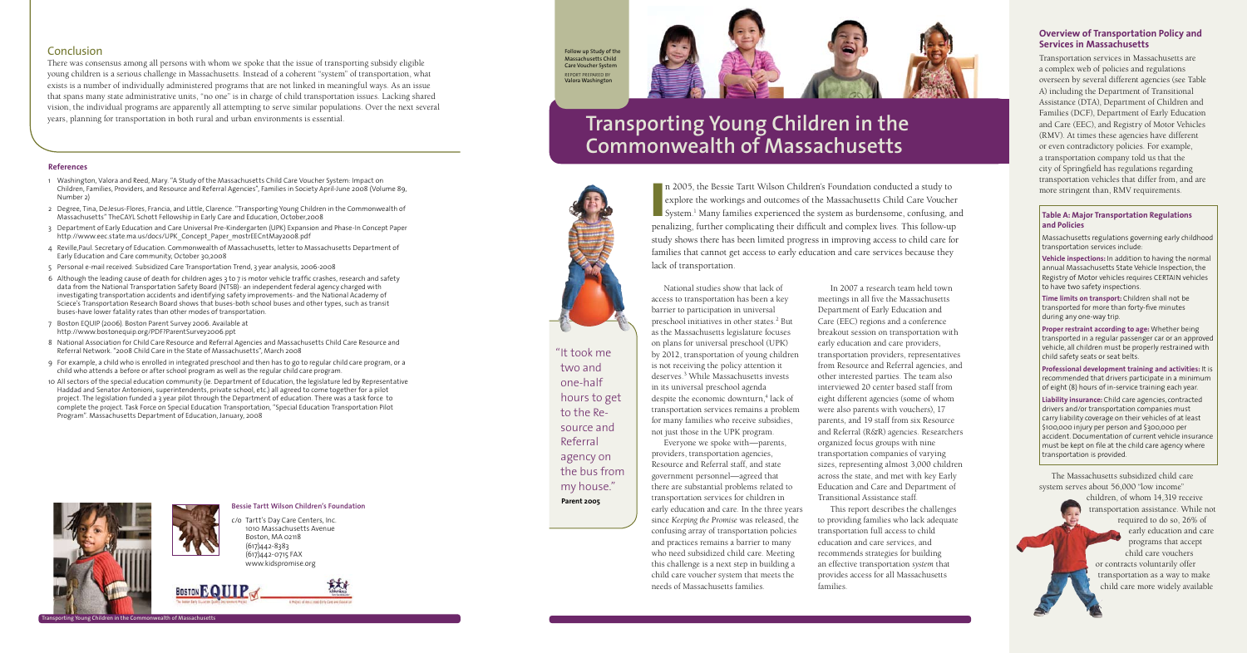

## **Bessie Tartt Wilson Children's Foundation** c/o Tartt's Day Care Centers, Inc. 1010 Massachusetts Avenue

 Boston, MA 02118 (617)442-8383 (617)442-0715 fax www.kidspromise.org



n 2005, the Bessie Tartt Wilson Children's Foundation conducted a study to explore the workings and outcomes of the Massachusetts Child Care Voucher System.<sup>1</sup> Many families experienced the system as burdensome, confusing, n 2005, the Bessie Tartt Wilson Children's Foundation conducted a study to explore the workings and outcomes of the Massachusetts Child Care Voucher System.<sup>1</sup> Many families experienced the system as burdensome, confusing, and study shows there has been limited progress in improving access to child care for families that cannot get access to early education and care services because they

lack of transportation. National studies show that lack of

access to transportation has been a key barrier to participation in universal preschool initiatives in other states.<sup>2</sup> But as the Massachusetts legislature focuses on plans for universal preschool (UPK) by 2012, transportation of young children is not receiving the policy attention it deserves.3 While Massachusetts invests in its universal preschool agenda despite the economic downturn,<sup>4</sup> lack of transportation services remains a problem for many families who receive subsidies, not just those in the UPK program. Everyone we spoke with—parents, providers, transportation agencies, Resource and Referral staff, and state government personnel—agreed that there are substantial problems related to transportation services for children in early education and care. In the three years since *Keeping the Promise* was released, the confusing array of transportation policies and practices remains a barrier to many who need subsidized child care. Meeting this challenge is a next step in building a child care voucher system that meets the needs of Massachusetts families.

**Vehicle inspections:** In addition to having the normal annual Massachusetts State Vehicle Inspection, the Registry of Motor vehicles requires CERTAIN vehicles to have two safety inspections.

In 2007 a research team held town meetings in all five the Massachusetts Department of Early Education and Care (EEC) regions and a conference breakout session on transportation with early education and care providers, transportation providers, representatives from Resource and Referral agencies, and other interested parties. The team also interviewed 20 center based staff from eight different agencies (some of whom were also parents with vouchers), 17 parents, and 19 staff from six Resource and Referral (R&R) agencies. Researchers organized focus groups with nine transportation companies of varying sizes, representing almost 3,000 children across the state, and met with key Early Education and Care and Department of Transitional Assistance staff.

This report describes the challenges to providing families who lack adequate transportation full access to child education and care services, and recommends strategies for building an effective transportation *system* that provides access for all Massachusetts families.

## **Overview of Transportation Policy and Services in Massachusetts**

Transportation services in Massachusetts are a complex web of policies and regulations overseen by several different agencies (see Table A) including the Department of Transitional Assistance (DTA), Department of Children and Families (DCF), Department of Early Education and Care (EEC), and Registry of Motor Vehicles (RMV). At times these agencies have different or even contradictory policies. For example, a transportation company told us that the city of Springfield has regulations regarding transportation vehicles that differ from, and are more stringent than, RMV requirements.

### **Table A: Major Transportation Regulations and Policies**

Massachusetts regulations governing early childhood transportation services include:

**Time limits on transport:** Children shall not be transported for more than forty-five minutes during any one-way trip.

**Proper restraint according to age:** Whether being transported in a regular passenger car or an approved vehicle, all children must be properly restrained with child safety seats or seat belts.

**Professional development training and activities:** It is recommended that drivers participate in a minimum of eight (8) hours of in-service training each year.

**Liability insurance:** Child care agencies, contracted drivers and/or transportation companies must carry liability coverage on their vehicles of at least \$100,000 injury per person and \$300,000 per accident. Documentation of current vehicle insurance must be kept on file at the child care agency where transportation is provided.

" It took me two and one-half hours to get to the Resource and Referral agency on the bus from my house." **Parent 2005**

The Massachusetts subsidized child care system serves about 56,000 "low income"

children, of whom 14,319 receive transportation assistance. While not required to do so, 26% of early education and care programs that accept child care vouchers or contracts voluntarily offer transportation as a way to make child care more widely available

# **Transporting Young Children in the Commonwealth of Massachusetts**



# Conclusion

There was consensus among all persons with whom we spoke that the issue of transporting subsidy eligible young children is a serious challenge in Massachusetts. Instead of a coherent "system" of transportation, what exists is a number of individually administered programs that are not linked in meaningful ways. As an issue that spans many state administrative units, "no one" is in charge of child transportation issues. Lacking shared vision, the individual programs are apparently all attempting to serve similar populations. Over the next several years, planning for transportation in both rural and urban environments is essential.

#### **References**

- 1 Washington, Valora and Reed, Mary. "A Study of the Massachusetts Child Care Voucher System: Impact on Children, Families, Providers, and Resource and Referral Agencies", Families in Society April-June 2008 (Volume 89, Number 2)
- 2 Degree, Tina, DeJesus-Flores, Francia, and Little, Clarence. "Transporting Young Children in the Commonwealth of Massachusetts" TheCAYL Schott Fellowship in Early Care and Education, October,2008
- 3 Department of Early Education and Care Universal Pre-Kindergarten (UPK) Expansion and Phase-In Concept Paper http://www.eec.state.ma.us/docs/UPK\_Concept\_Paper\_mostrEECntMay2008.pdf
- 4 Reville,Paul. Secretary of Education. Commonwealth of Massachusetts, letter to Massachusetts Department of Early Education and Care community, October 30,2008
- 5 Personal e-mail received: Subsidized Care Transportation Trend, 3 year analysis, 2006-2008
- 6 Although the leading cause of death for children ages 3 to 7 is motor vehicle traffic crashes, research and safety data from the National Transportation Safety Board (NTSB)- an independent federal agency charged with investigating transportation accidents and identifying safety improvements- and the National Academy of Sciece's Transportation Research Board shows that buses-both school buses and other types, such as transit buses-have lower fatality rates than other modes of transportation.
- 7 Boston EQUIP (2006). Boston Parent Survey 2006. Available at http://www.bostonequip.org/PDF?ParentSurvey2006.ppt
- 8 National Association for Child Care Resource and Referral Agencies and Massachusetts Child Care Resource and Referral Network. "2008 Child Care in the State of Massachusetts", March 2008
- 9 For example, a child who is enrolled in integrated preschool and then has to go to regular child care program, or a child who attends a before or after school program as well as the regular child care program.
- 10 All sectors of the special education community (ie. Department of Education, the legislature led by Representative Haddad and Senator Antonioni, superintendents, private school, etc.) all agreed to come together for a pilot project. The legislation funded a 3 year pilot through the Department of education. There was a task force to complete the project. Task Force on Special Education Transportation, "Special Education Transportation Pilot Program". Massachusetts Department of Education, January, 2008

Follow up Study of the Massachusetts Child Care Voucher System Report prepared by Valora Washington